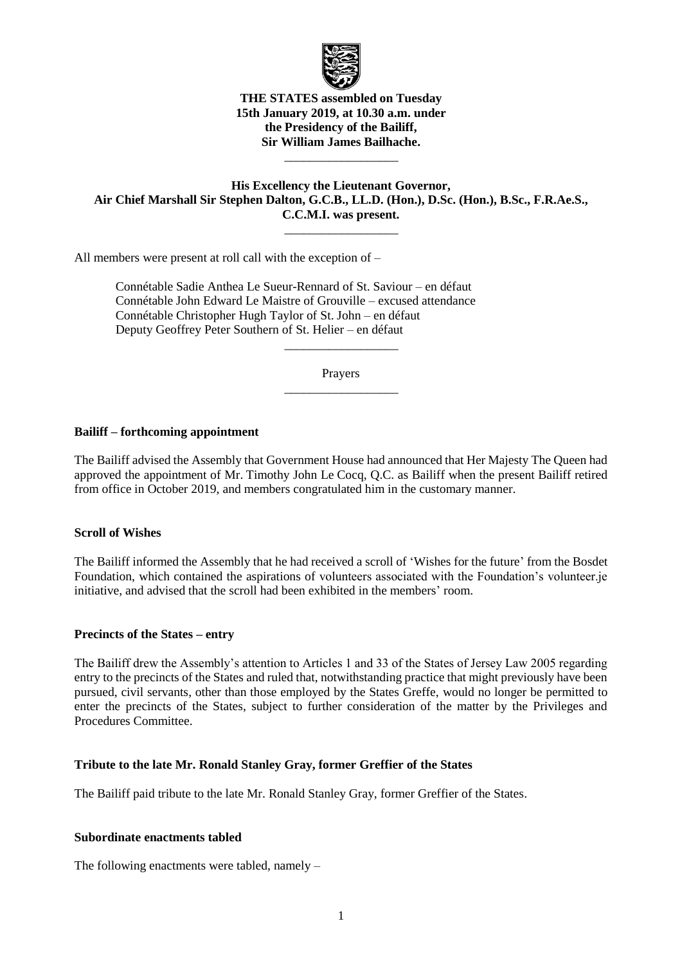

#### **THE STATES assembled on Tuesday 15th January 2019, at 10.30 a.m. under the Presidency of the Bailiff, Sir William James Bailhache.**

\_\_\_\_\_\_\_\_\_\_\_\_\_\_\_\_\_\_

### **His Excellency the Lieutenant Governor, Air Chief Marshall Sir Stephen Dalton, G.C.B., LL.D. (Hon.), D.Sc. (Hon.), B.Sc., F.R.Ae.S., C.C.M.I. was present.**

\_\_\_\_\_\_\_\_\_\_\_\_\_\_\_\_\_\_

All members were present at roll call with the exception of –

Connétable Sadie Anthea Le Sueur-Rennard of St. Saviour – en défaut Connétable John Edward Le Maistre of Grouville – excused attendance Connétable Christopher Hugh Taylor of St. John – en défaut Deputy Geoffrey Peter Southern of St. Helier – en défaut

> Prayers \_\_\_\_\_\_\_\_\_\_\_\_\_\_\_\_\_\_

> \_\_\_\_\_\_\_\_\_\_\_\_\_\_\_\_\_\_

#### **Bailiff – forthcoming appointment**

The Bailiff advised the Assembly that Government House had announced that Her Majesty The Queen had approved the appointment of Mr. Timothy John Le Cocq, Q.C. as Bailiff when the present Bailiff retired from office in October 2019, and members congratulated him in the customary manner.

#### **Scroll of Wishes**

The Bailiff informed the Assembly that he had received a scroll of 'Wishes for the future' from the Bosdet Foundation, which contained the aspirations of volunteers associated with the Foundation's volunteer.je initiative, and advised that the scroll had been exhibited in the members' room.

#### **Precincts of the States – entry**

The Bailiff drew the Assembly's attention to Articles 1 and 33 of the States of Jersey Law 2005 regarding entry to the precincts of the States and ruled that, notwithstanding practice that might previously have been pursued, civil servants, other than those employed by the States Greffe, would no longer be permitted to enter the precincts of the States, subject to further consideration of the matter by the Privileges and Procedures Committee.

### **Tribute to the late Mr. Ronald Stanley Gray, former Greffier of the States**

The Bailiff paid tribute to the late Mr. Ronald Stanley Gray, former Greffier of the States.

#### **Subordinate enactments tabled**

The following enactments were tabled, namely –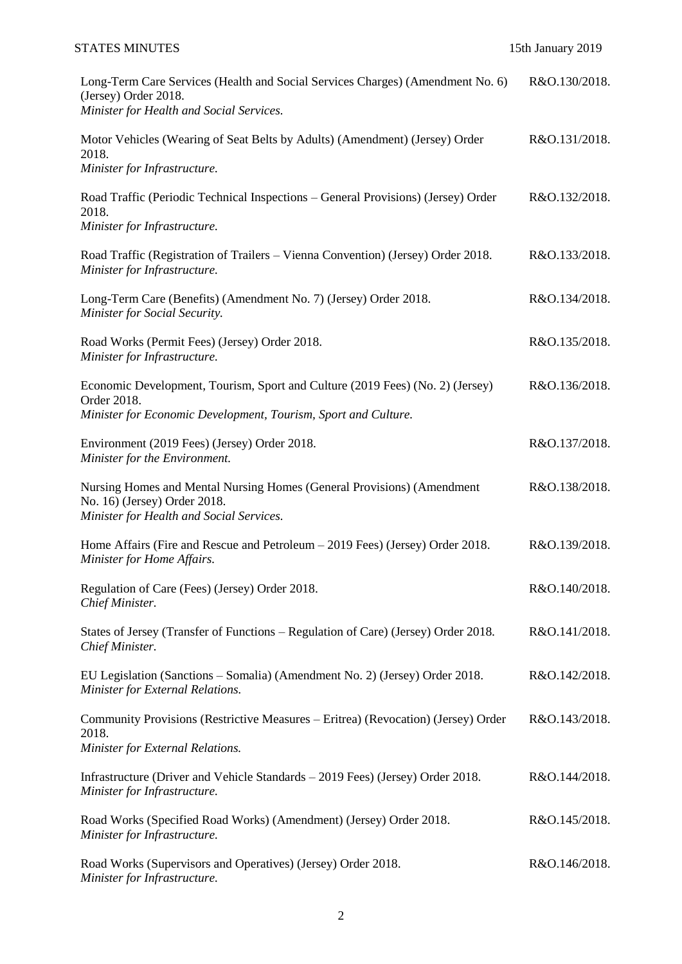## STATES MINUTES 15th January 2019

| Long-Term Care Services (Health and Social Services Charges) (Amendment No. 6)<br>(Jersey) Order 2018.<br>Minister for Health and Social Services.             | R&O.130/2018. |
|----------------------------------------------------------------------------------------------------------------------------------------------------------------|---------------|
| Motor Vehicles (Wearing of Seat Belts by Adults) (Amendment) (Jersey) Order<br>2018.<br>Minister for Infrastructure.                                           | R&O.131/2018. |
| Road Traffic (Periodic Technical Inspections – General Provisions) (Jersey) Order<br>2018.<br>Minister for Infrastructure.                                     | R&O.132/2018. |
| Road Traffic (Registration of Trailers – Vienna Convention) (Jersey) Order 2018.<br>Minister for Infrastructure.                                               | R&O.133/2018. |
| Long-Term Care (Benefits) (Amendment No. 7) (Jersey) Order 2018.<br>Minister for Social Security.                                                              | R&O.134/2018. |
| Road Works (Permit Fees) (Jersey) Order 2018.<br>Minister for Infrastructure.                                                                                  | R&O.135/2018. |
| Economic Development, Tourism, Sport and Culture (2019 Fees) (No. 2) (Jersey)<br>Order 2018.<br>Minister for Economic Development, Tourism, Sport and Culture. | R&O.136/2018. |
| Environment (2019 Fees) (Jersey) Order 2018.<br>Minister for the Environment.                                                                                  | R&O.137/2018. |
| Nursing Homes and Mental Nursing Homes (General Provisions) (Amendment<br>No. 16) (Jersey) Order 2018.<br>Minister for Health and Social Services.             | R&O.138/2018. |
| Home Affairs (Fire and Rescue and Petroleum – 2019 Fees) (Jersey) Order 2018.<br>Minister for Home Affairs.                                                    | R&O.139/2018. |
| Regulation of Care (Fees) (Jersey) Order 2018.<br>Chief Minister.                                                                                              | R&O.140/2018. |
| States of Jersey (Transfer of Functions – Regulation of Care) (Jersey) Order 2018.<br>Chief Minister.                                                          | R&O.141/2018. |
| EU Legislation (Sanctions – Somalia) (Amendment No. 2) (Jersey) Order 2018.<br>Minister for External Relations.                                                | R&O.142/2018. |
| Community Provisions (Restrictive Measures – Eritrea) (Revocation) (Jersey) Order<br>2018.<br>Minister for External Relations.                                 | R&O.143/2018. |
| Infrastructure (Driver and Vehicle Standards – 2019 Fees) (Jersey) Order 2018.<br>Minister for Infrastructure.                                                 | R&O.144/2018. |
| Road Works (Specified Road Works) (Amendment) (Jersey) Order 2018.<br>Minister for Infrastructure.                                                             | R&O.145/2018. |
| Road Works (Supervisors and Operatives) (Jersey) Order 2018.<br>Minister for Infrastructure.                                                                   | R&O.146/2018. |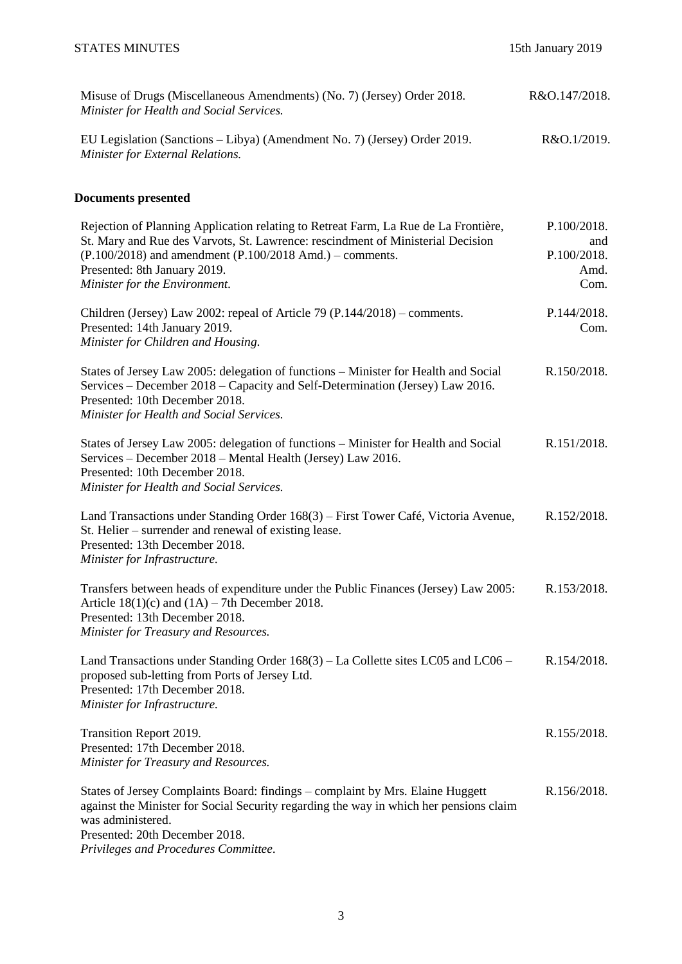| Misuse of Drugs (Miscellaneous Amendments) (No. 7) (Jersey) Order 2018.<br>Minister for Health and Social Services.  | R&O.147/2018. |
|----------------------------------------------------------------------------------------------------------------------|---------------|
| EU Legislation (Sanctions – Libya) (Amendment No. 7) (Jersey) Order 2019.<br><i>Minister for External Relations.</i> | R&O.1/2019.   |

## **Documents presented**

| Rejection of Planning Application relating to Retreat Farm, La Rue de La Frontière,<br>St. Mary and Rue des Varvots, St. Lawrence: rescindment of Ministerial Decision<br>$(P.100/2018)$ and amendment $(P.100/2018$ Amd.) – comments.<br>Presented: 8th January 2019.<br>Minister for the Environment. | P.100/2018.<br>and<br>P.100/2018.<br>Amd.<br>Com. |
|---------------------------------------------------------------------------------------------------------------------------------------------------------------------------------------------------------------------------------------------------------------------------------------------------------|---------------------------------------------------|
| Children (Jersey) Law 2002: repeal of Article 79 (P.144/2018) – comments.<br>Presented: 14th January 2019.<br>Minister for Children and Housing.                                                                                                                                                        | P.144/2018.<br>Com.                               |
| States of Jersey Law 2005: delegation of functions – Minister for Health and Social<br>Services – December 2018 – Capacity and Self-Determination (Jersey) Law 2016.<br>Presented: 10th December 2018.<br>Minister for Health and Social Services.                                                      | R.150/2018.                                       |
| States of Jersey Law 2005: delegation of functions - Minister for Health and Social<br>Services - December 2018 - Mental Health (Jersey) Law 2016.<br>Presented: 10th December 2018.<br>Minister for Health and Social Services.                                                                        | R.151/2018.                                       |
| Land Transactions under Standing Order 168(3) – First Tower Café, Victoria Avenue,<br>St. Helier – surrender and renewal of existing lease.<br>Presented: 13th December 2018.<br>Minister for Infrastructure.                                                                                           | R.152/2018.                                       |
| Transfers between heads of expenditure under the Public Finances (Jersey) Law 2005:<br>Article $18(1)(c)$ and $(1A) - 7th$ December 2018.<br>Presented: 13th December 2018.<br>Minister for Treasury and Resources.                                                                                     | R.153/2018.                                       |
| Land Transactions under Standing Order $168(3)$ – La Collette sites LC05 and LC06 –<br>proposed sub-letting from Ports of Jersey Ltd.<br>Presented: 17th December 2018.<br>Minister for Infrastructure.                                                                                                 | R.154/2018.                                       |
| Transition Report 2019.<br>Presented: 17th December 2018.<br>Minister for Treasury and Resources.                                                                                                                                                                                                       | R.155/2018.                                       |
| States of Jersey Complaints Board: findings - complaint by Mrs. Elaine Huggett<br>against the Minister for Social Security regarding the way in which her pensions claim<br>was administered.<br>Presented: 20th December 2018.                                                                         | R.156/2018.                                       |

*Privileges and Procedures Committee.*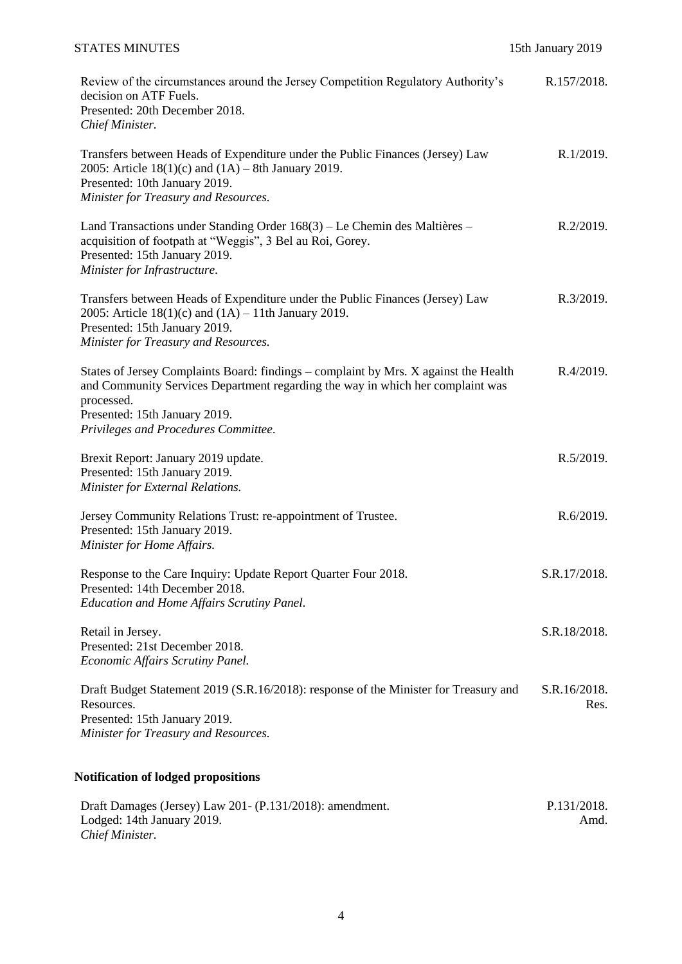## STATES MINUTES 15th January 2019

| Review of the circumstances around the Jersey Competition Regulatory Authority's<br>decision on ATF Fuels.<br>Presented: 20th December 2018.<br>Chief Minister.                                                                                               | R.157/2018.          |
|---------------------------------------------------------------------------------------------------------------------------------------------------------------------------------------------------------------------------------------------------------------|----------------------|
| Transfers between Heads of Expenditure under the Public Finances (Jersey) Law<br>2005: Article $18(1)(c)$ and $(1A) - 8th$ January 2019.<br>Presented: 10th January 2019.<br>Minister for Treasury and Resources.                                             | R.1/2019.            |
| Land Transactions under Standing Order 168(3) – Le Chemin des Maltières –<br>acquisition of footpath at "Weggis", 3 Bel au Roi, Gorey.<br>Presented: 15th January 2019.<br>Minister for Infrastructure.                                                       | R.2/2019.            |
| Transfers between Heads of Expenditure under the Public Finances (Jersey) Law<br>2005: Article $18(1)(c)$ and $(1A) - 11$ th January 2019.<br>Presented: 15th January 2019.<br>Minister for Treasury and Resources.                                           | R.3/2019.            |
| States of Jersey Complaints Board: findings – complaint by Mrs. X against the Health<br>and Community Services Department regarding the way in which her complaint was<br>processed.<br>Presented: 15th January 2019.<br>Privileges and Procedures Committee. | R.4/2019.            |
| Brexit Report: January 2019 update.<br>Presented: 15th January 2019.<br>Minister for External Relations.                                                                                                                                                      | R.5/2019.            |
| Jersey Community Relations Trust: re-appointment of Trustee.<br>Presented: 15th January 2019.<br>Minister for Home Affairs.                                                                                                                                   | R.6/2019.            |
| Response to the Care Inquiry: Update Report Quarter Four 2018.<br>Presented: 14th December 2018.<br><b>Education and Home Affairs Scrutiny Panel.</b>                                                                                                         | S.R.17/2018.         |
| Retail in Jersey.<br>Presented: 21st December 2018.<br>Economic Affairs Scrutiny Panel.                                                                                                                                                                       | S.R.18/2018.         |
| Draft Budget Statement 2019 (S.R.16/2018): response of the Minister for Treasury and<br>Resources.<br>Presented: 15th January 2019.<br>Minister for Treasury and Resources.                                                                                   | S.R.16/2018.<br>Res. |
| Notification of lodged propositions                                                                                                                                                                                                                           |                      |

| Draft Damages (Jersey) Law 201 - (P.131/2018): amendment. | P.131/2018. |
|-----------------------------------------------------------|-------------|
| Lodged: 14th January 2019.                                | Amd.        |
| Chief Minister.                                           |             |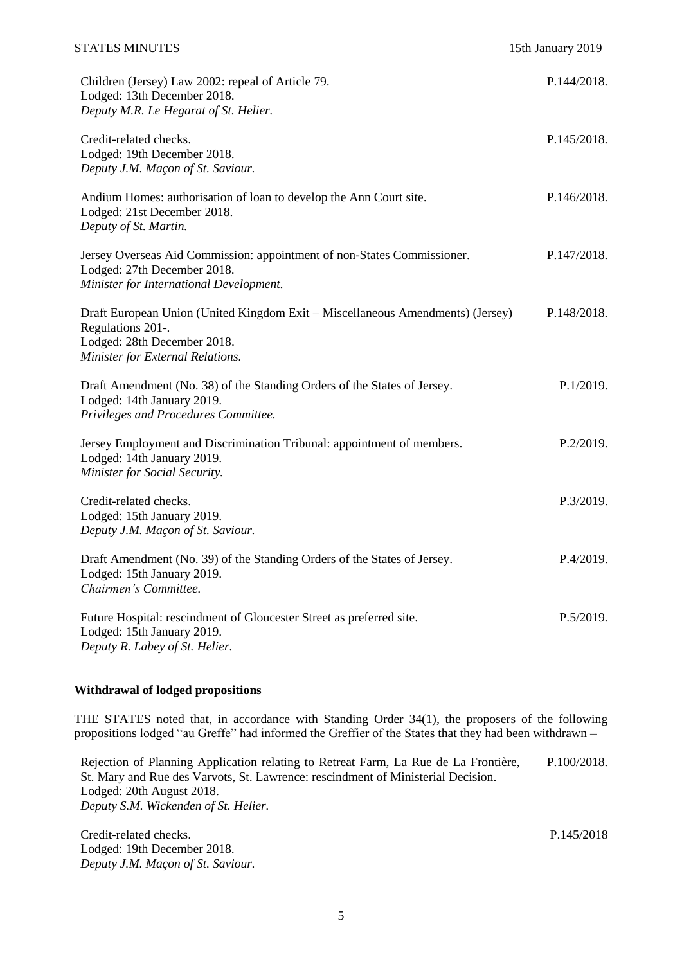| Children (Jersey) Law 2002: repeal of Article 79.<br>Lodged: 13th December 2018.<br>Deputy M.R. Le Hegarat of St. Helier.                                              | P.144/2018. |
|------------------------------------------------------------------------------------------------------------------------------------------------------------------------|-------------|
| Credit-related checks.<br>Lodged: 19th December 2018.<br>Deputy J.M. Maçon of St. Saviour.                                                                             | P.145/2018. |
| Andium Homes: authorisation of loan to develop the Ann Court site.<br>Lodged: 21st December 2018.<br>Deputy of St. Martin.                                             | P.146/2018. |
| Jersey Overseas Aid Commission: appointment of non-States Commissioner.<br>Lodged: 27th December 2018.<br>Minister for International Development.                      | P.147/2018. |
| Draft European Union (United Kingdom Exit – Miscellaneous Amendments) (Jersey)<br>Regulations 201-.<br>Lodged: 28th December 2018.<br>Minister for External Relations. | P.148/2018. |
| Draft Amendment (No. 38) of the Standing Orders of the States of Jersey.<br>Lodged: 14th January 2019.<br>Privileges and Procedures Committee.                         | P.1/2019.   |
| Jersey Employment and Discrimination Tribunal: appointment of members.<br>Lodged: 14th January 2019.<br>Minister for Social Security.                                  | P.2/2019.   |
| Credit-related checks.<br>Lodged: 15th January 2019.<br>Deputy J.M. Maçon of St. Saviour.                                                                              | P.3/2019.   |
| Draft Amendment (No. 39) of the Standing Orders of the States of Jersey.<br>Lodged: 15th January 2019.<br>Chairmen's Committee.                                        | P.4/2019.   |
| Future Hospital: rescindment of Gloucester Street as preferred site.<br>Lodged: 15th January 2019.<br>Deputy R. Labey of St. Helier.                                   | P.5/2019.   |

### **Withdrawal of lodged propositions**

THE STATES noted that, in accordance with Standing Order 34(1), the proposers of the following propositions lodged "au Greffe" had informed the Greffier of the States that they had been withdrawn –

Rejection of Planning Application relating to Retreat Farm, La Rue de La Frontière, St. Mary and Rue des Varvots, St. Lawrence: rescindment of Ministerial Decision. Lodged: 20th August 2018. *Deputy S.M. Wickenden of St. Helier.* [P.100/2018.](https://statesassembly.gov.je/assemblypropositions/2018/p.100-2018.pdf)

[Credit-related checks.](https://statesassembly.gov.je/assemblypropositions/2018/p.145-2018.pdf) Lodged: 19th December 2018. *Deputy J.M. Maçon of St. Saviour.* P.145/2018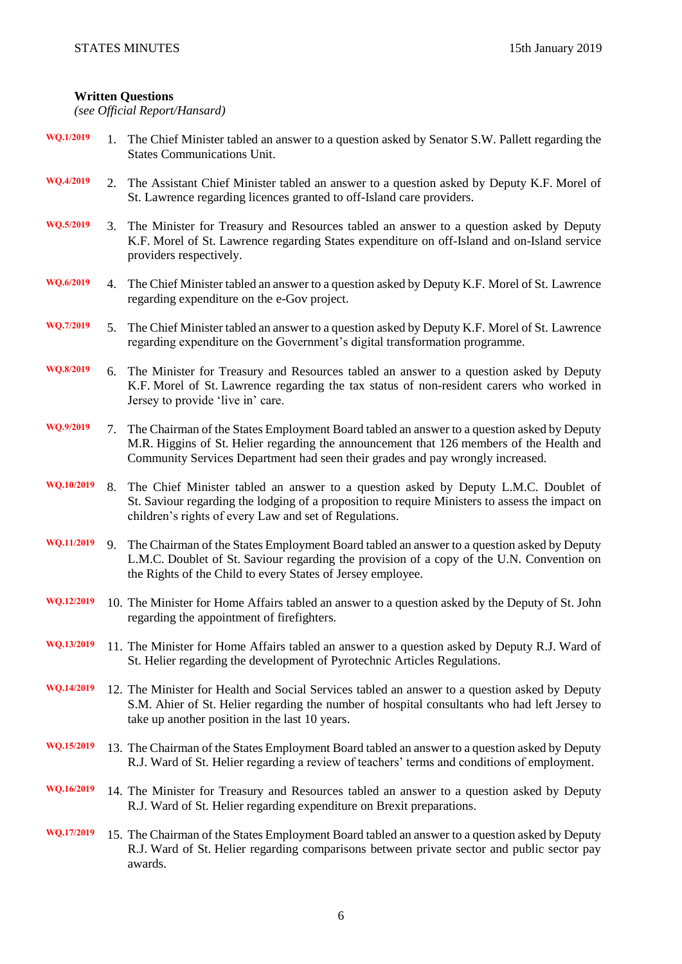## **Written Questions**

*(see Official Report/Hansard)*

| WQ.1/2019  |    | 1. The Chief Minister tabled an answer to a question asked by Senator S.W. Pallett regarding the<br><b>States Communications Unit.</b>                                                                                                                                   |
|------------|----|--------------------------------------------------------------------------------------------------------------------------------------------------------------------------------------------------------------------------------------------------------------------------|
| WQ.4/2019  | 2. | The Assistant Chief Minister tabled an answer to a question asked by Deputy K.F. Morel of<br>St. Lawrence regarding licences granted to off-Island care providers.                                                                                                       |
| WQ.5/2019  | 3. | The Minister for Treasury and Resources tabled an answer to a question asked by Deputy<br>K.F. Morel of St. Lawrence regarding States expenditure on off-Island and on-Island service<br>providers respectively.                                                         |
| WQ.6/2019  | 4. | The Chief Minister tabled an answer to a question asked by Deputy K.F. Morel of St. Lawrence<br>regarding expenditure on the e-Gov project.                                                                                                                              |
| WQ.7/2019  | 5. | The Chief Minister tabled an answer to a question asked by Deputy K.F. Morel of St. Lawrence<br>regarding expenditure on the Government's digital transformation programme.                                                                                              |
| WQ.8/2019  |    | 6. The Minister for Treasury and Resources tabled an answer to a question asked by Deputy<br>K.F. Morel of St. Lawrence regarding the tax status of non-resident carers who worked in<br>Jersey to provide 'live in' care.                                               |
| WQ.9/2019  | 7. | The Chairman of the States Employment Board tabled an answer to a question asked by Deputy<br>M.R. Higgins of St. Helier regarding the announcement that 126 members of the Health and<br>Community Services Department had seen their grades and pay wrongly increased. |
| WQ.10/2019 | 8. | The Chief Minister tabled an answer to a question asked by Deputy L.M.C. Doublet of<br>St. Saviour regarding the lodging of a proposition to require Ministers to assess the impact on<br>children's rights of every Law and set of Regulations.                         |
| WQ.11/2019 | 9. | The Chairman of the States Employment Board tabled an answer to a question asked by Deputy<br>L.M.C. Doublet of St. Saviour regarding the provision of a copy of the U.N. Convention on<br>the Rights of the Child to every States of Jersey employee.                   |
| WQ.12/2019 |    | 10. The Minister for Home Affairs tabled an answer to a question asked by the Deputy of St. John<br>regarding the appointment of firefighters.                                                                                                                           |
| WQ.13/2019 |    | 11. The Minister for Home Affairs tabled an answer to a question asked by Deputy R.J. Ward of<br>St. Helier regarding the development of Pyrotechnic Articles Regulations.                                                                                               |
| WQ.14/2019 |    | 12. The Minister for Health and Social Services tabled an answer to a question asked by Deputy<br>S.M. Ahier of St. Helier regarding the number of hospital consultants who had left Jersey to<br>take up another position in the last 10 years.                         |
| WQ.15/2019 |    | 13. The Chairman of the States Employment Board tabled an answer to a question asked by Deputy<br>R.J. Ward of St. Helier regarding a review of teachers' terms and conditions of employment.                                                                            |
| WQ.16/2019 |    | 14. The Minister for Treasury and Resources tabled an answer to a question asked by Deputy<br>R.J. Ward of St. Helier regarding expenditure on Brexit preparations.                                                                                                      |
| WQ.17/2019 |    | 15. The Chairman of the States Employment Board tabled an answer to a question asked by Deputy<br>R.J. Ward of St. Helier regarding comparisons between private sector and public sector pay<br>awards.                                                                  |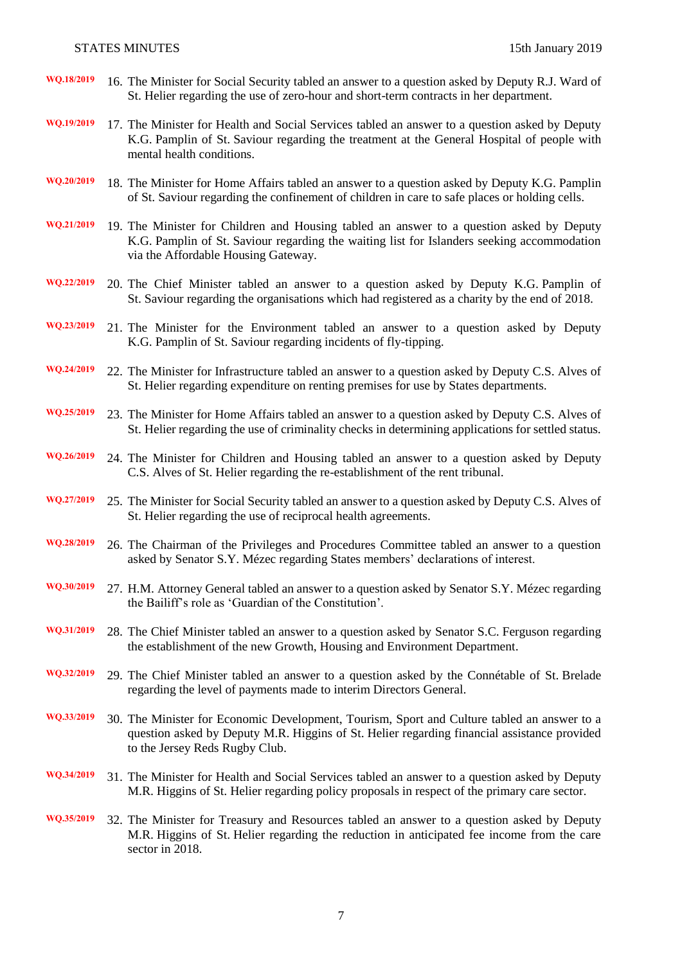- **WQ.18/2019** 16. The Minister for Social Security tabled an answer to a question asked by Deputy R.J. Ward of St. Helier regarding the use of zero-hour and short-term contracts in her department.
- **WQ.19/2019** 17. The Minister for Health and Social Services tabled an answer to a question asked by Deputy K.G. Pamplin of St. Saviour regarding the treatment at the General Hospital of people with mental health conditions.
- **WQ.20/2019** 18. The Minister for Home Affairs tabled an answer to a question asked by Deputy K.G. Pamplin of St. Saviour regarding the confinement of children in care to safe places or holding cells.
- **WQ.21/2019** 19. The Minister for Children and Housing tabled an answer to a question asked by Deputy K.G. Pamplin of St. Saviour regarding the waiting list for Islanders seeking accommodation via the Affordable Housing Gateway.
- **WQ.22/2019** 20. The Chief Minister tabled an answer to a question asked by Deputy K.G. Pamplin of St. Saviour regarding the organisations which had registered as a charity by the end of 2018.
- **WQ.23/2019** 21. The Minister for the Environment tabled an answer to a question asked by Deputy K.G. Pamplin of St. Saviour regarding incidents of fly-tipping.
- **WQ.24/2019** 22. The Minister for Infrastructure tabled an answer to a question asked by Deputy C.S. Alves of St. Helier regarding expenditure on renting premises for use by States departments.
- **WQ.25/2019** 23. The Minister for Home Affairs tabled an answer to a question asked by Deputy C.S. Alves of St. Helier regarding the use of criminality checks in determining applications for settled status.
- **WQ.26/2019** 24. The Minister for Children and Housing tabled an answer to a question asked by Deputy C.S. Alves of St. Helier regarding the re-establishment of the rent tribunal.
- **WQ.27/2019** 25. The Minister for Social Security tabled an answer to a question asked by Deputy C.S. Alves of St. Helier regarding the use of reciprocal health agreements.
- **WQ.28/2019** 26. The Chairman of the Privileges and Procedures Committee tabled an answer to a question asked by Senator S.Y. Mézec regarding States members' declarations of interest.
- **WQ.30/2019** 27. H.M. Attorney General tabled an answer to a question asked by Senator S.Y. Mézec regarding the Bailiff's role as 'Guardian of the Constitution'.
- **WQ.31/2019** 28. The Chief Minister tabled an answer to a question asked by Senator S.C. Ferguson regarding the establishment of the new Growth, Housing and Environment Department.
- **WQ.32/2019** 29. The Chief Minister tabled an answer to a question asked by the Connétable of St. Brelade regarding the level of payments made to interim Directors General.
- **WQ.33/2019** 30. The Minister for Economic Development, Tourism, Sport and Culture tabled an answer to a question asked by Deputy M.R. Higgins of St. Helier regarding financial assistance provided to the Jersey Reds Rugby Club.
- **WQ.34/2019** 31. The Minister for Health and Social Services tabled an answer to a question asked by Deputy M.R. Higgins of St. Helier regarding policy proposals in respect of the primary care sector.
- **WQ.35/2019** 32. The Minister for Treasury and Resources tabled an answer to a question asked by Deputy M.R. Higgins of St. Helier regarding the reduction in anticipated fee income from the care sector in 2018.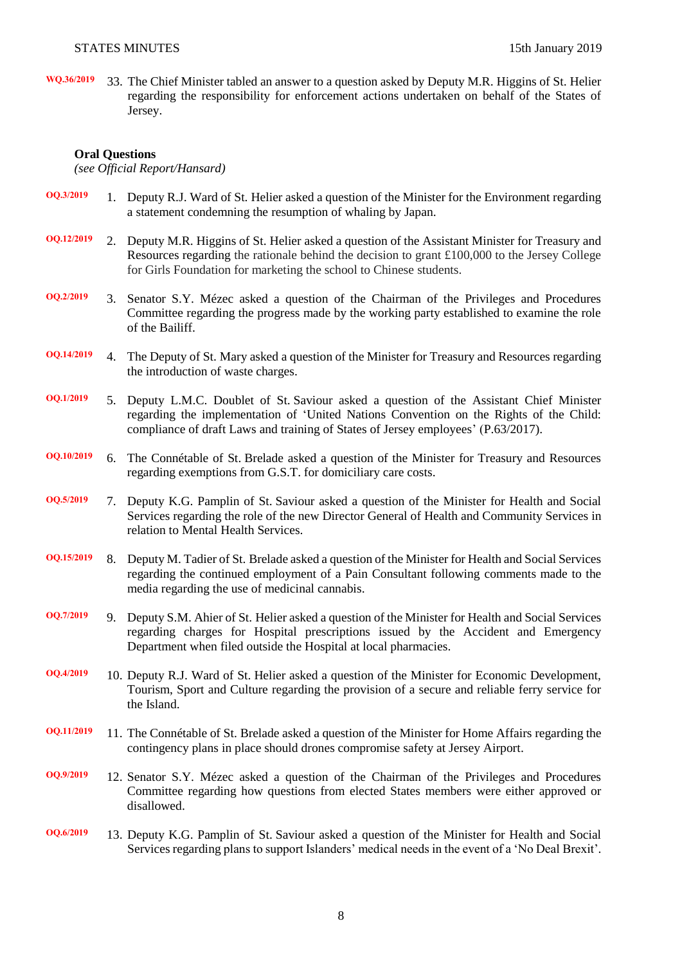**WQ.36/2019** 33. The Chief Minister tabled an answer to a question asked by Deputy M.R. Higgins of St. Helier regarding the responsibility for enforcement actions undertaken on behalf of the States of Jersey.

#### **Oral Questions**

*(see Official Report/Hansard)*

- **OQ.3/2019** 1. Deputy R.J. Ward of St. Helier asked a question of the Minister for the Environment regarding a statement condemning the resumption of whaling by Japan.
- **OQ.12/2019** 2. Deputy M.R. Higgins of St. Helier asked a question of the Assistant Minister for Treasury and Resources regarding the rationale behind the decision to grant £100,000 to the Jersey College for Girls Foundation for marketing the school to Chinese students.
- **OQ.2/2019** 3. Senator S.Y. Mézec asked a question of the Chairman of the Privileges and Procedures Committee regarding the progress made by the working party established to examine the role of the Bailiff.
- **OQ.14/2019** 4. The Deputy of St. Mary asked a question of the Minister for Treasury and Resources regarding the introduction of waste charges.
- **OQ.1/2019** 5. Deputy L.M.C. Doublet of St. Saviour asked a question of the Assistant Chief Minister regarding the implementation of 'United Nations Convention on the Rights of the Child: compliance of draft Laws and training of States of Jersey employees' [\(P.63/2017\)](https://statesassembly.gov.je/Pages/Propositions.aspx?ref=P.63/2017&refurl=%2fPages%2fPropositions.aspx%3fdocumentref%3dP.63%2f2017).
- **OQ.10/2019** 6. The Connétable of St. Brelade asked a question of the Minister for Treasury and Resources regarding exemptions from G.S.T. for domiciliary care costs.
- **OQ.5/2019** 7. Deputy K.G. Pamplin of St. Saviour asked a question of the Minister for Health and Social Services regarding the role of the new Director General of Health and Community Services in relation to Mental Health Services.
- **OQ.15/2019** 8. Deputy M. Tadier of St. Brelade asked a question of the Minister for Health and Social Services regarding the continued employment of a Pain Consultant following comments made to the media regarding the use of medicinal cannabis.
- **OQ.7/2019** 9. Deputy S.M. Ahier of St. Helier asked a question of the Minister for Health and Social Services regarding charges for Hospital prescriptions issued by the Accident and Emergency Department when filed outside the Hospital at local pharmacies.
- **OQ.4/2019** 10. Deputy R.J. Ward of St. Helier asked a question of the Minister for Economic Development, Tourism, Sport and Culture regarding the provision of a secure and reliable ferry service for the Island.
- **OQ.11/2019** 11. The Connétable of St. Brelade asked a question of the Minister for Home Affairs regarding the contingency plans in place should drones compromise safety at Jersey Airport.
- **OQ.9/2019** 12. Senator S.Y. Mézec asked a question of the Chairman of the Privileges and Procedures Committee regarding how questions from elected States members were either approved or disallowed.
- **OQ.6/2019** 13. Deputy K.G. Pamplin of St. Saviour asked a question of the Minister for Health and Social Services regarding plans to support Islanders' medical needs in the event of a 'No Deal Brexit'.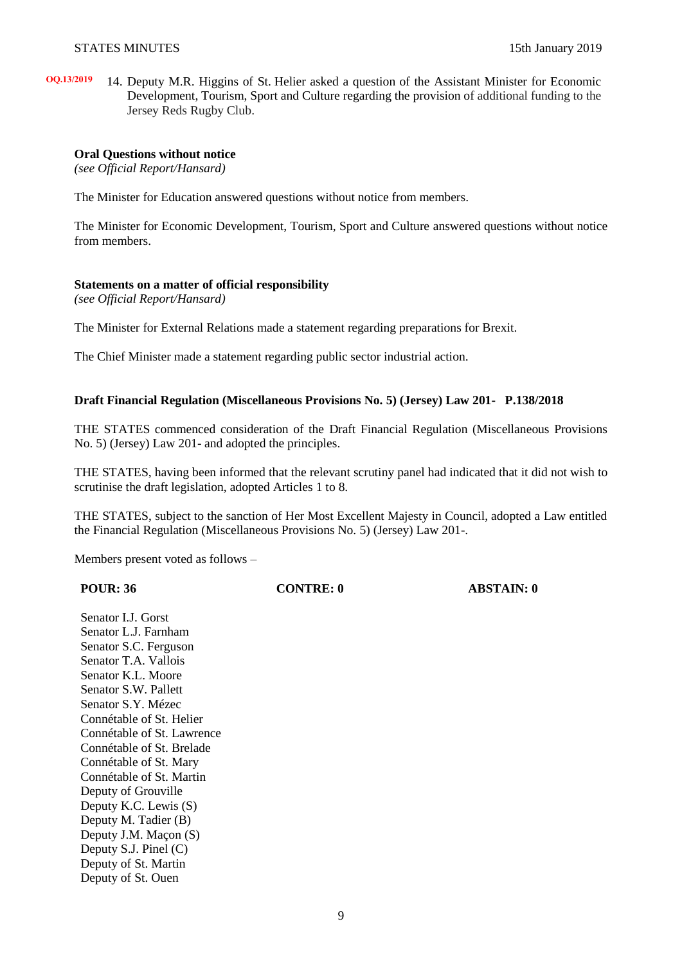**OQ.13/2019** 14. Deputy M.R. Higgins of St. Helier asked a question of the Assistant Minister for Economic Development, Tourism, Sport and Culture regarding the provision of additional funding to the Jersey Reds Rugby Club.

#### **Oral Questions without notice**

*(see Official Report/Hansard)*

The Minister for Education answered questions without notice from members.

The Minister for Economic Development, Tourism, Sport and Culture answered questions without notice from members.

#### **Statements on a matter of official responsibility**

*(see Official Report/Hansard)*

The Minister for External Relations made a statement regarding preparations for Brexit.

The Chief Minister made a statement regarding public sector industrial action.

#### **[Draft Financial Regulation \(Miscellaneous Provisions No.](https://statesassembly.gov.je/assemblypropositions/2018/p.138-2018.pdf) 5) (Jersey) Law 201- [P.138/2018](https://statesassembly.gov.je/assemblypropositions/2018/p.138-2018.pdf)**

THE STATES commenced consideration of the [Draft Financial Regulation \(Miscellaneous Provisions](https://statesassembly.gov.je/assemblypropositions/2018/p.138-2018.pdf)  No. [5\) \(Jersey\) Law 201-](https://statesassembly.gov.je/assemblypropositions/2018/p.138-2018.pdf) and adopted the principles.

THE STATES, having been informed that the relevant scrutiny panel had indicated that it did not wish to scrutinise the draft legislation, adopted Articles 1 to 8.

THE STATES, subject to the sanction of Her Most Excellent Majesty in Council, adopted a Law entitled the [Financial Regulation \(Miscellaneous Provisions No.](https://statesassembly.gov.je/assemblypropositions/2018/p.138-2018.pdf) 5) (Jersey) Law 201-.

Members present voted as follows –

| <b>POUR: 36</b>       | <b>CONTRE: 0</b> | <b>ABSTAIN: 0</b> |  |
|-----------------------|------------------|-------------------|--|
| Senator I.J. Gorst    |                  |                   |  |
| Senator L.J. Farnham  |                  |                   |  |
| Senator S.C. Ferguson |                  |                   |  |
| Senator T.A. Vallois  |                  |                   |  |
| Senator $K$ I Moore   |                  |                   |  |

Senator L. Senator S. Senator T. Senator K.L. Moore Senator S.W. Pallett Senator S.Y. Mézec Connétable of St. Helier Connétable of St. Lawrence Connétable of St. Brelade Connétable of St. Mary Connétable of St. Martin Deputy of Grouville Deputy K.C. Lewis (S) Deputy M. Tadier (B) Deputy J.M. Maçon (S) Deputy S.J. Pinel (C) Deputy of St. Martin Deputy of St. Ouen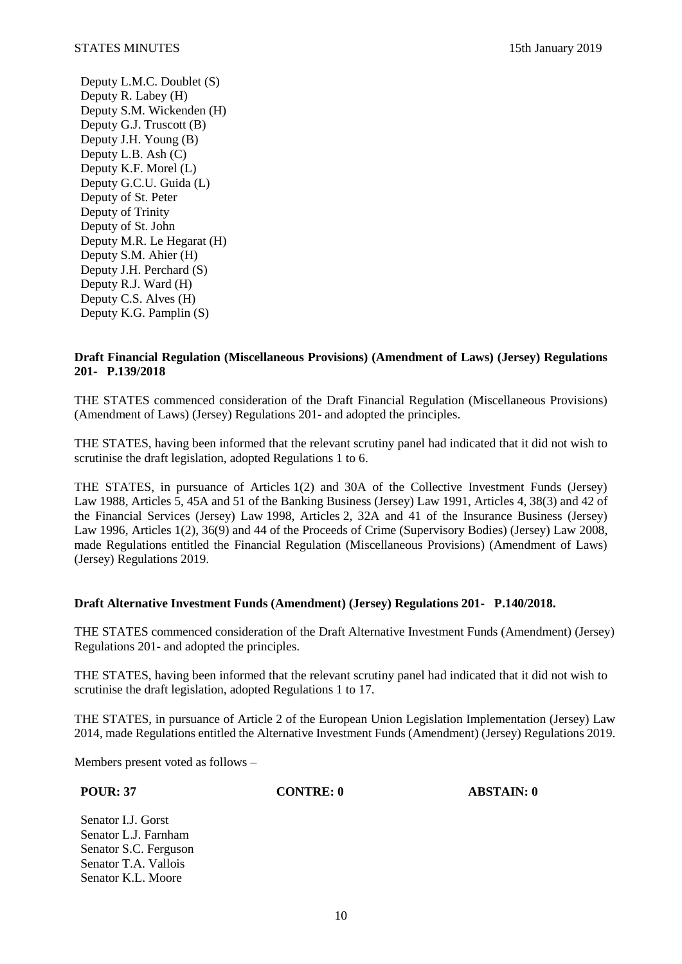Deputy L.M.C. Doublet (S) Deputy R. Labey (H) Deputy S.M. Wickenden (H) Deputy G.J. Truscott (B) Deputy J.H. Young (B) Deputy L.B. Ash (C) Deputy K.F. Morel (L) Deputy G.C.U. Guida (L) Deputy of St. Peter Deputy of Trinity Deputy of St. John Deputy M.R. Le Hegarat (H) Deputy S.M. Ahier (H) Deputy J.H. Perchard (S) Deputy R.J. Ward (H) Deputy C.S. Alves (H) Deputy K.G. Pamplin (S)

### **[Draft Financial Regulation \(Miscellaneous Provisions\) \(Amendment of Laws\) \(Jersey\) Regulations](https://statesassembly.gov.je/assemblypropositions/2018/p.139-2018.pdf)  [201-](https://statesassembly.gov.je/assemblypropositions/2018/p.139-2018.pdf) P.139/2018**

THE STATES commenced consideration of the [Draft Financial Regulation \(Miscellaneous Provisions\)](https://statesassembly.gov.je/assemblypropositions/2018/p.139-2018.pdf)  [\(Amendment of Laws\) \(Jersey\) Regulations 201-](https://statesassembly.gov.je/assemblypropositions/2018/p.139-2018.pdf) and adopted the principles.

THE STATES, having been informed that the relevant scrutiny panel had indicated that it did not wish to scrutinise the draft legislation, adopted Regulations 1 to 6.

THE STATES, in pursuance of Articles 1(2) and 30A of the Collective Investment Funds (Jersey) Law 1988, Articles 5, 45A and 51 of the Banking Business (Jersey) Law 1991, Articles 4, 38(3) and 42 of the Financial Services (Jersey) Law 1998, Articles 2, 32A and 41 of the Insurance Business (Jersey) Law 1996, Articles 1(2), 36(9) and 44 of the Proceeds of Crime (Supervisory Bodies) (Jersey) Law 2008, made Regulations entitled the [Financial Regulation \(Miscellaneous Provisions\) \(Amendment of Laws\)](https://statesassembly.gov.je/assemblypropositions/2018/p.139-2018.pdf)  [\(Jersey\) Regulations 2019.](https://statesassembly.gov.je/assemblypropositions/2018/p.139-2018.pdf)

### **[Draft Alternative Investment Funds \(Amendment\) \(Jersey\) Regulations 201- P.140/2018.](https://statesassembly.gov.je/assemblypropositions/2018/p.140-2018.pdf)**

THE STATES commenced consideration of the [Draft Alternative Investment Funds \(Amendment\) \(Jersey\)](https://statesassembly.gov.je/assemblypropositions/2018/p.140-2018.pdf)  [Regulations 201-](https://statesassembly.gov.je/assemblypropositions/2018/p.140-2018.pdf) and adopted the principles.

THE STATES, having been informed that the relevant scrutiny panel had indicated that it did not wish to scrutinise the draft legislation, adopted Regulations 1 to 17.

THE STATES, in pursuance of Article 2 of the European Union Legislation Implementation (Jersey) Law 2014, made Regulations entitled the [Alternative Investment Funds \(Amendment\) \(Jersey\) Regulations 2019.](https://statesassembly.gov.je/assemblypropositions/2018/p.140-2018.pdf)

Members present voted as follows –

**POUR: 37 CONTRE: 0 ABSTAIN: 0**

Senator I.J. Gorst Senator L.J. Farnham Senator S.C. Ferguson Senator T.A. Vallois Senator K.L. Moore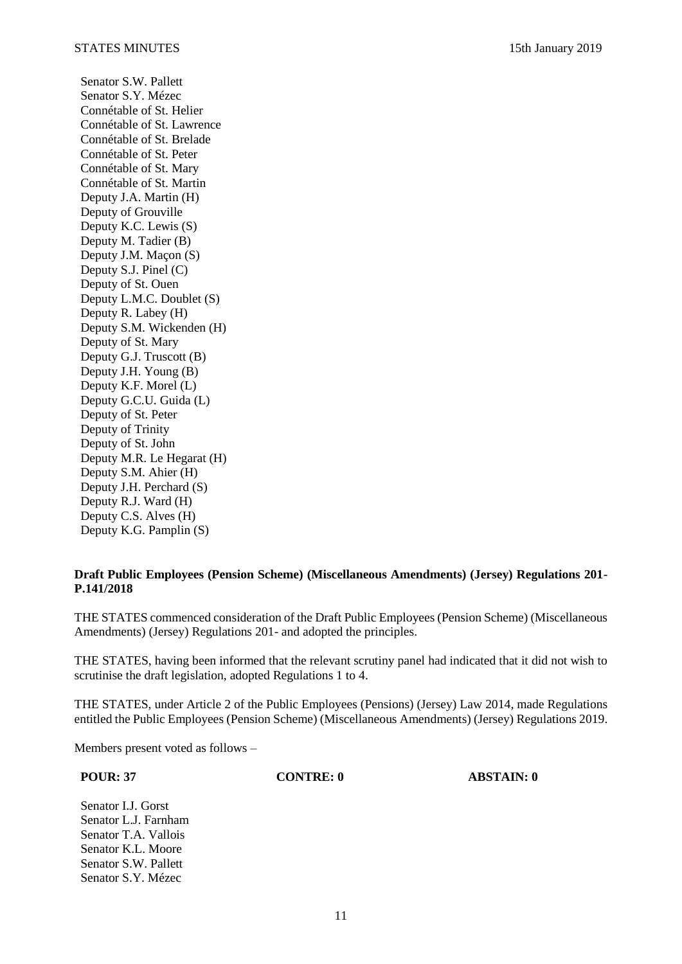Senator S.W. Pallett Senator S.Y. Mézec Connétable of St. Helier Connétable of St. Lawrence Connétable of St. Brelade Connétable of St. Peter Connétable of St. Mary Connétable of St. Martin Deputy J.A. Martin (H) Deputy of Grouville Deputy K.C. Lewis (S) Deputy M. Tadier (B) Deputy J.M. Maçon (S) Deputy S.J. Pinel (C) Deputy of St. Ouen Deputy L.M.C. Doublet (S) Deputy R. Labey (H) Deputy S.M. Wickenden (H) Deputy of St. Mary Deputy G.J. Truscott (B) Deputy J.H. Young (B) Deputy K.F. Morel (L) Deputy G.C.U. Guida (L) Deputy of St. Peter Deputy of Trinity Deputy of St. John Deputy M.R. Le Hegarat (H) Deputy S.M. Ahier (H) Deputy J.H. Perchard (S) Deputy R.J. Ward (H) Deputy C.S. Alves (H) Deputy K.G. Pamplin (S)

### **[Draft Public Employees \(Pension Scheme\) \(Miscellaneous Amendments\) \(Jersey\) Regulations 201-](https://statesassembly.gov.je/assemblypropositions/2018/p.141-2018.pdf)  P.141/2018**

THE STATES commenced consideration of the [Draft Public Employees \(Pension Scheme\) \(Miscellaneous](https://statesassembly.gov.je/assemblypropositions/2018/p.141-2018.pdf)  [Amendments\) \(Jersey\) Regulations 201-](https://statesassembly.gov.je/assemblypropositions/2018/p.141-2018.pdf) and adopted the principles.

THE STATES, having been informed that the relevant scrutiny panel had indicated that it did not wish to scrutinise the draft legislation, adopted Regulations 1 to 4.

THE STATES, under Article 2 of the Public Employees (Pensions) (Jersey) Law 2014, made Regulations entitled the [Public Employees \(Pension Scheme\) \(Miscellaneous Amendments\) \(Jersey\) Regulations 2019.](https://statesassembly.gov.je/assemblypropositions/2018/p.141-2018.pdf)

Members present voted as follows –

**POUR: 37 CONTRE: 0 ABSTAIN: 0**

Senator I.J. Gorst Senator L.J. Farnham Senator T.A. Vallois Senator K.L. Moore Senator S.W. Pallett Senator S.Y. Mézec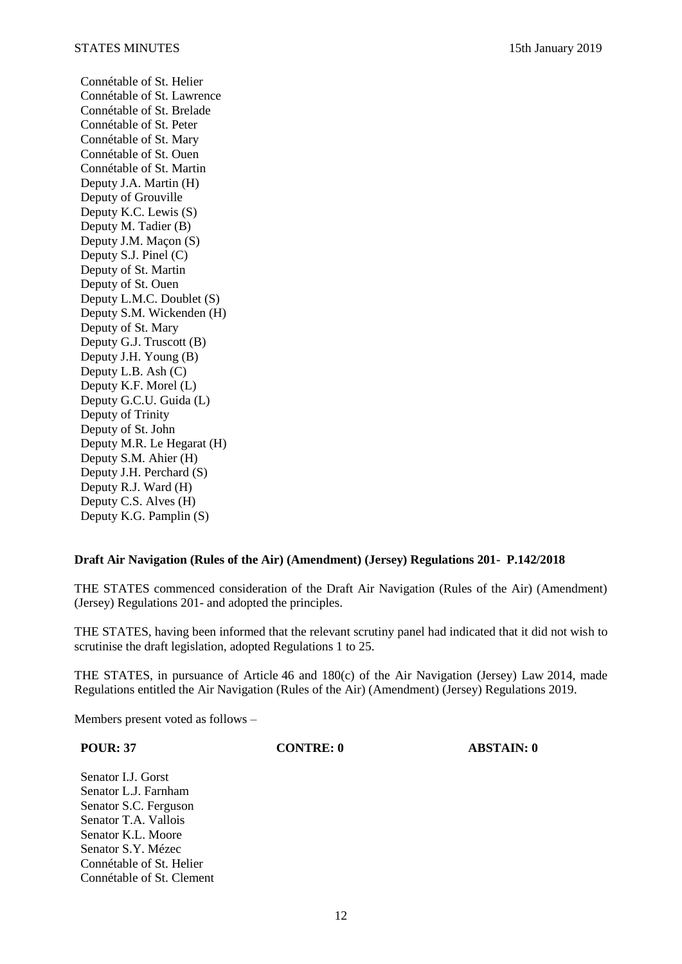Connétable of St. Helier Connétable of St. Lawrence Connétable of St. Brelade Connétable of St. Peter Connétable of St. Mary Connétable of St. Ouen Connétable of St. Martin Deputy J.A. Martin (H) Deputy of Grouville Deputy K.C. Lewis (S) Deputy M. Tadier (B) Deputy J.M. Maçon (S) Deputy S.J. Pinel (C) Deputy of St. Martin Deputy of St. Ouen Deputy L.M.C. Doublet (S) Deputy S.M. Wickenden (H) Deputy of St. Mary Deputy G.J. Truscott (B) Deputy J.H. Young (B) Deputy L.B. Ash  $(C)$ Deputy K.F. Morel (L) Deputy G.C.U. Guida (L) Deputy of Trinity Deputy of St. John Deputy M.R. Le Hegarat (H) Deputy S.M. Ahier (H) Deputy J.H. Perchard (S) Deputy R.J. Ward (H) Deputy C.S. Alves (H) Deputy K.G. Pamplin (S)

#### **[Draft Air Navigation \(Rules of the Air\) \(Amendment\) \(Jersey\) Regulations 201-](https://statesassembly.gov.je/assemblypropositions/2018/p.142-2018.pdf) P.142/2018**

THE STATES commenced consideration of the [Draft Air Navigation \(Rules of the Air\) \(Amendment\)](https://statesassembly.gov.je/assemblypropositions/2018/p.142-2018.pdf)  [\(Jersey\) Regulations 201-](https://statesassembly.gov.je/assemblypropositions/2018/p.142-2018.pdf) and adopted the principles.

THE STATES, having been informed that the relevant scrutiny panel had indicated that it did not wish to scrutinise the draft legislation, adopted Regulations 1 to 25.

THE STATES, in pursuance of Article 46 and 180(c) of the Air Navigation (Jersey) Law 2014, made Regulations entitled the [Air Navigation \(Rules of the Air\) \(Amendment\) \(Jersey\) Regulations 2019.](https://statesassembly.gov.je/assemblypropositions/2018/p.142-2018.pdf)

Members present voted as follows –

**POUR: 37 CONTRE: 0 ABSTAIN: 0**

Senator I.J. Gorst Senator L.J. Farnham Senator S.C. Ferguson Senator T.A. Vallois Senator K.L. Moore Senator S.Y. Mézec Connétable of St. Helier Connétable of St. Clement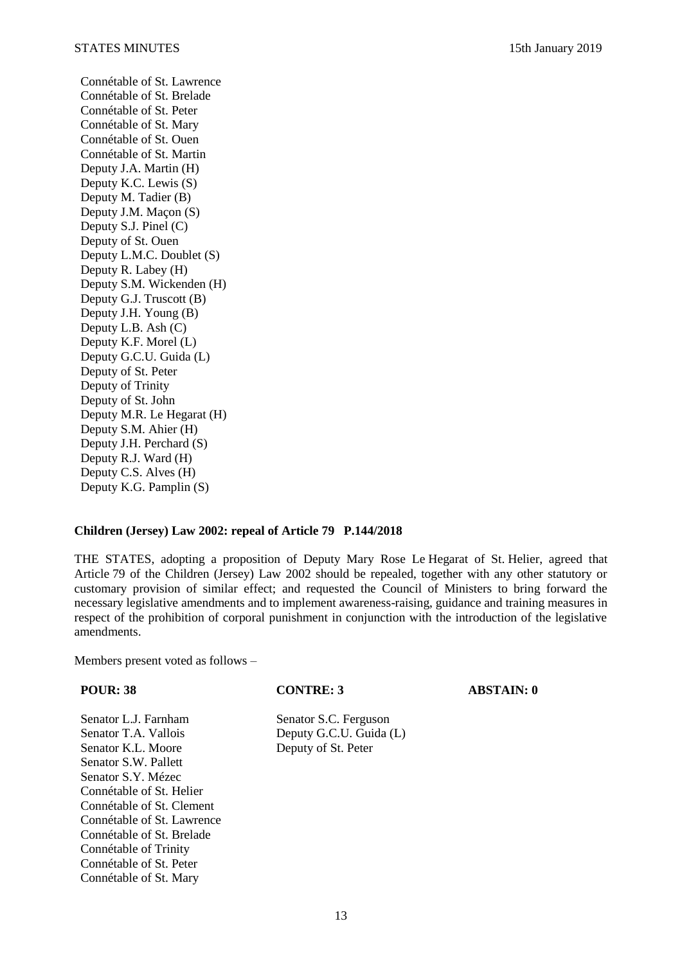Connétable of St. Lawrence Connétable of St. Brelade Connétable of St. Peter Connétable of St. Mary Connétable of St. Ouen Connétable of St. Martin Deputy J.A. Martin (H) Deputy K.C. Lewis (S) Deputy M. Tadier (B) Deputy J.M. Maçon (S) Deputy S.J. Pinel (C) Deputy of St. Ouen Deputy L.M.C. Doublet (S) Deputy R. Labey (H) Deputy S.M. Wickenden (H) Deputy G.J. Truscott (B) Deputy J.H. Young (B) Deputy L.B. Ash (C) Deputy K.F. Morel (L) Deputy G.C.U. Guida (L) Deputy of St. Peter Deputy of Trinity Deputy of St. John Deputy M.R. Le Hegarat (H) Deputy S.M. Ahier (H) Deputy J.H. Perchard (S) Deputy R.J. Ward (H) Deputy C.S. Alves (H) Deputy K.G. Pamplin (S)

#### **[Children \(Jersey\) Law 2002: repeal of Article](https://statesassembly.gov.je/assemblypropositions/2018/p.144-2018.pdf) 79 P.144/2018**

THE STATES, adopting a proposition of Deputy Mary Rose Le Hegarat of St. Helier, agreed that Article 79 of the Children (Jersey) Law 2002 should be repealed, together with any other statutory or customary provision of similar effect; and requested the Council of Ministers to bring forward the necessary legislative amendments and to implement awareness-raising, guidance and training measures in respect of the prohibition of corporal punishment in conjunction with the introduction of the legislative amendments.

Members present voted as follows –

Senator L.J. Farnham Senator S.C. Ferguson Senator T.A. Vallois Deputy G.C.U. Guida (L) Senator K.L. Moore Deputy of St. Peter Senator S.W. Pallett Senator S.Y. Mézec Connétable of St. Helier Connétable of St. Clement Connétable of St. Lawrence Connétable of St. Brelade Connétable of Trinity Connétable of St. Peter Connétable of St. Mary

#### **POUR: 38 CONTRE: 3 ABSTAIN: 0**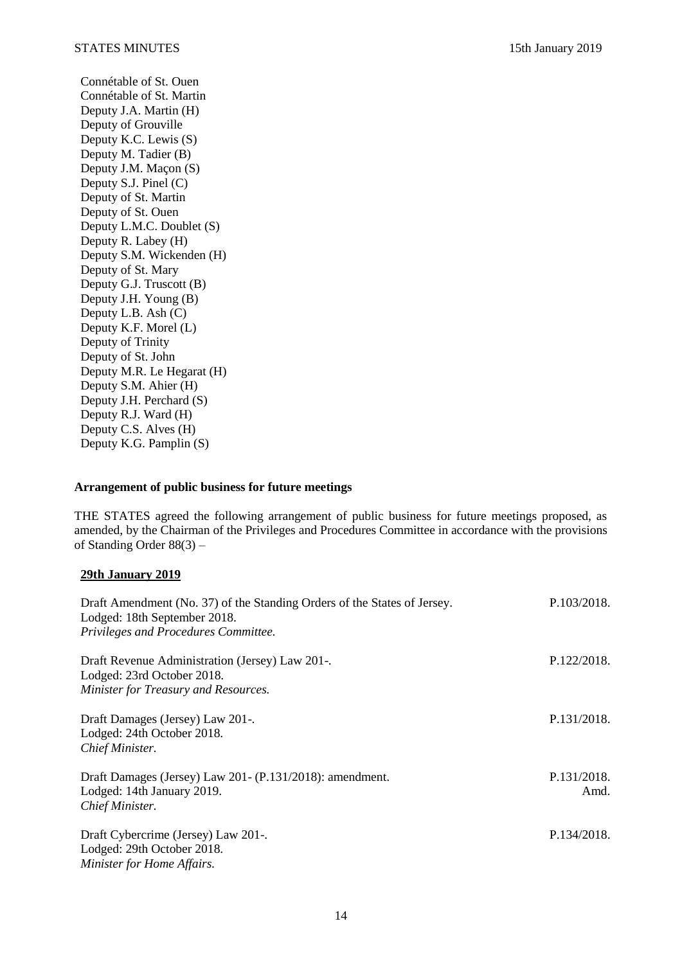Connétable of St. Ouen Connétable of St. Martin Deputy J.A. Martin (H) Deputy of Grouville Deputy K.C. Lewis (S) Deputy M. Tadier (B) Deputy J.M. Maçon (S) Deputy S.J. Pinel (C) Deputy of St. Martin Deputy of St. Ouen Deputy L.M.C. Doublet (S) Deputy R. Labey (H) Deputy S.M. Wickenden (H) Deputy of St. Mary Deputy G.J. Truscott (B) Deputy J.H. Young (B) Deputy L.B. Ash (C) Deputy K.F. Morel (L) Deputy of Trinity Deputy of St. John Deputy M.R. Le Hegarat (H) Deputy S.M. Ahier (H) Deputy J.H. Perchard (S) Deputy R.J. Ward (H) Deputy C.S. Alves (H) Deputy K.G. Pamplin (S)

### **Arrangement of public business for future meetings**

THE STATES agreed the following arrangement of public business for future meetings proposed, as amended, by the Chairman of the Privileges and Procedures Committee in accordance with the provisions of Standing Order 88(3) –

#### **29th January 2019**

| Draft Amendment (No. 37) of the Standing Orders of the States of Jersey.<br>Lodged: 18th September 2018. | P.103/2018. |
|----------------------------------------------------------------------------------------------------------|-------------|
| Privileges and Procedures Committee.                                                                     |             |
| Draft Revenue Administration (Jersey) Law 201-.                                                          | P.122/2018. |
| Lodged: 23rd October 2018.                                                                               |             |
| Minister for Treasury and Resources.                                                                     |             |
| Draft Damages (Jersey) Law 201-.                                                                         | P.131/2018. |
| Lodged: 24th October 2018.                                                                               |             |
| Chief Minister.                                                                                          |             |
| Draft Damages (Jersey) Law 201 - (P.131/2018): amendment.                                                | P.131/2018. |
| Lodged: 14th January 2019.                                                                               | Amd.        |
| Chief Minister.                                                                                          |             |
| Draft Cybercrime (Jersey) Law 201-.                                                                      | P.134/2018. |
| Lodged: 29th October 2018.                                                                               |             |
| Minister for Home Affairs.                                                                               |             |